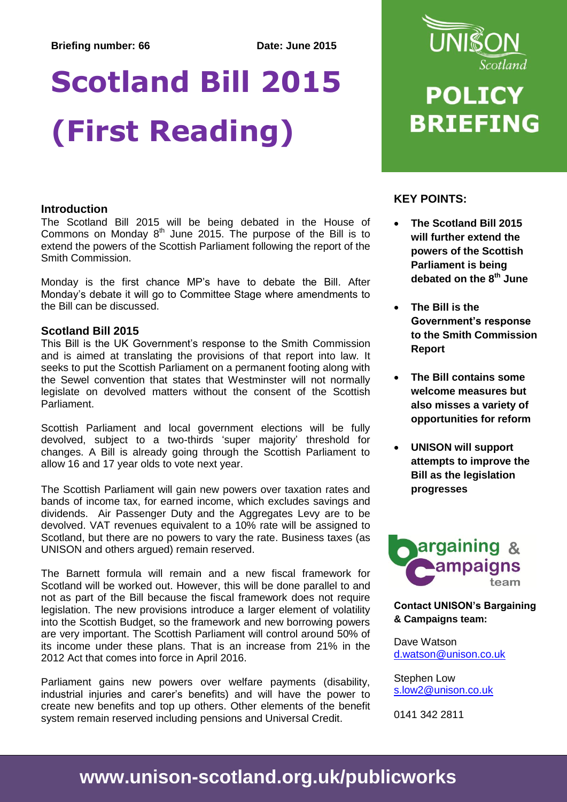# **Scotland Bill 2015 (First Reading)**

#### **Introduction**

The Scotland Bill 2015 will be being debated in the House of Commons on Monday  $8<sup>th</sup>$  June 2015. The purpose of the Bill is to extend the powers of the Scottish Parliament following the report of the Smith Commission.

Monday is the first chance MP's have to debate the Bill. After Monday's debate it will go to Committee Stage where amendments to the Bill can be discussed.

#### **Scotland Bill 2015**

This Bill is the UK Government's response to the Smith Commission and is aimed at translating the provisions of that report into law. It seeks to put the Scottish Parliament on a permanent footing along with the Sewel convention that states that Westminster will not normally legislate on devolved matters without the consent of the Scottish Parliament.

Scottish Parliament and local government elections will be fully devolved, subject to a two-thirds 'super majority' threshold for changes. A Bill is already going through the Scottish Parliament to allow 16 and 17 year olds to vote next year.

The Scottish Parliament will gain new powers over taxation rates and bands of income tax, for earned income, which excludes savings and dividends. Air Passenger Duty and the Aggregates Levy are to be devolved. VAT revenues equivalent to a 10% rate will be assigned to Scotland, but there are no powers to vary the rate. Business taxes (as UNISON and others argued) remain reserved.

The Barnett formula will remain and a new fiscal framework for Scotland will be worked out. However, this will be done parallel to and not as part of the Bill because the fiscal framework does not require legislation. The new provisions introduce a larger element of volatility into the Scottish Budget, so the framework and new borrowing powers are very important. The Scottish Parliament will control around 50% of its income under these plans. That is an increase from 21% in the 2012 Act that comes into force in April 2016.

Parliament gains new powers over welfare payments (disability, industrial injuries and carer's benefits) and will have the power to create new benefits and top up others. Other elements of the benefit system remain reserved including pensions and Universal Credit.



## **POLICY BRIEFING**

### **KEY POINTS:**

- **The Scotland Bill 2015 will further extend the powers of the Scottish Parliament is being debated on the 8th June**
- **The Bill is the Government's response to the Smith Commission Report**
- **The Bill contains some welcome measures but also misses a variety of opportunities for reform**
- **UNISON will support attempts to improve the Bill as the legislation progresses**



**Contact UNISON's Bargaining & Campaigns team:**

Dave Watson [d.watson@unison.co.uk](mailto:d.watson@unison.co.uk)

Stephen Low [s.low2@unison.co.uk](mailto:s.low2@unison.co.uk)

0141 342 2811

### **www.unison-scotland.org.uk/publicworks**